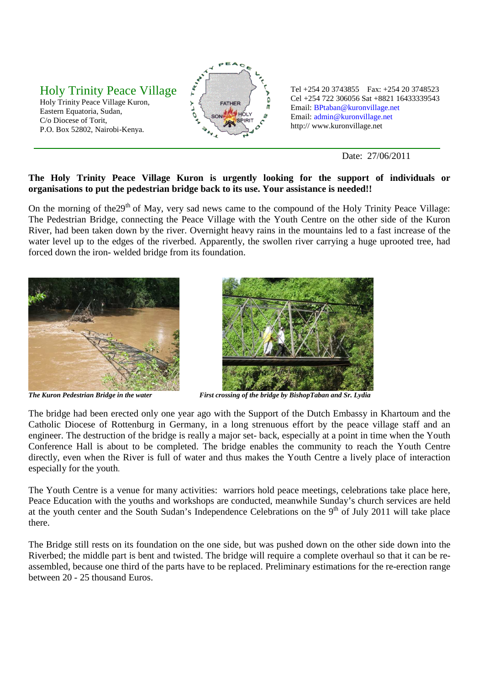## Holy Trinity Peace Village

Holy Trinity Peace Village Kuron, Eastern Equatoria, Sudan, C/o Diocese of Torit, P.O. Box 52802, Nairobi-Kenya.



Tel +254 20 3743855 Fax: +254 20 3748523 Cel +254 722 306056 Sat +8821 16433339543 Email: BPtaban@kuronvillage.net Email: admin@kuronvillage.net http:// www.kuronvillage.net

Date: 27/06/2011

## **The Holy Trinity Peace Village Kuron is urgently looking for the support of individuals or organisations to put the pedestrian bridge back to its use. Your assistance is needed!!**

On the morning of the 29<sup>th</sup> of May, very sad news came to the compound of the Holy Trinity Peace Village: The Pedestrian Bridge, connecting the Peace Village with the Youth Centre on the other side of the Kuron River, had been taken down by the river. Overnight heavy rains in the mountains led to a fast increase of the water level up to the edges of the riverbed. Apparently, the swollen river carrying a huge uprooted tree, had forced down the iron- welded bridge from its foundation.





*The Kuron Pedestrian Bridge in the water First crossing of the bridge by BishopTaban and Sr. Lydia* 

The bridge had been erected only one year ago with the Support of the Dutch Embassy in Khartoum and the Catholic Diocese of Rottenburg in Germany, in a long strenuous effort by the peace village staff and an engineer. The destruction of the bridge is really a major set- back, especially at a point in time when the Youth Conference Hall is about to be completed. The bridge enables the community to reach the Youth Centre directly, even when the River is full of water and thus makes the Youth Centre a lively place of interaction especially for the youth.

The Youth Centre is a venue for many activities: warriors hold peace meetings, celebrations take place here, Peace Education with the youths and workshops are conducted, meanwhile Sunday's church services are held at the youth center and the South Sudan's Independence Celebrations on the  $9<sup>th</sup>$  of July 2011 will take place there.

The Bridge still rests on its foundation on the one side, but was pushed down on the other side down into the Riverbed; the middle part is bent and twisted. The bridge will require a complete overhaul so that it can be reassembled, because one third of the parts have to be replaced. Preliminary estimations for the re-erection range between 20 - 25 thousand Euros.